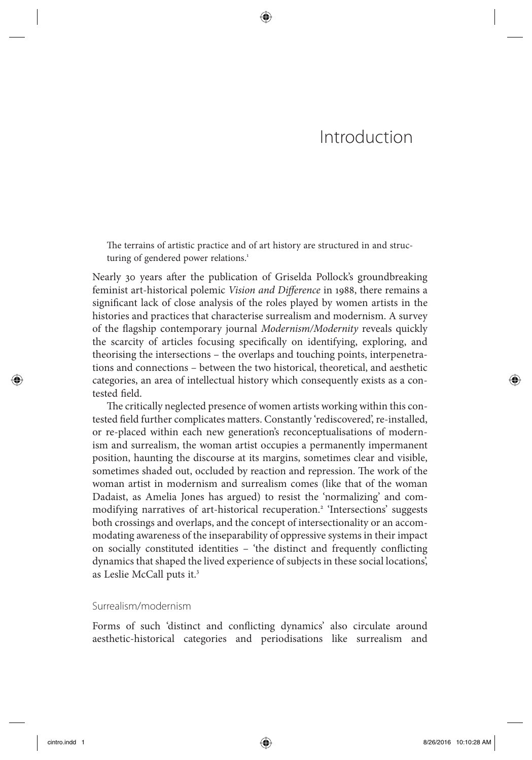# Introduction

The terrains of artistic practice and of art history are structured in and structuring of gendered power relations.<sup>1</sup>

⊕

Nearly 30 years after the publication of Griselda Pollock's groundbreaking feminist art-historical polemic *Vision and Difference* in 1988, there remains a significant lack of close analysis of the roles played by women artists in the histories and practices that characterise surrealism and modernism. A survey of the fl agship contemporary journal *Modernism/Modernity* reveals quickly the scarcity of articles focusing specifically on identifying, exploring, and theorising the intersections – the overlaps and touching points, interpenetrations and connections – between the two historical, theoretical, and aesthetic categories, an area of intellectual history which consequently exists as a contested field.

The critically neglected presence of women artists working within this contested field further complicates matters. Constantly 'rediscovered', re-installed, or re-placed within each new generation's reconceptualisations of modernism and surrealism, the woman artist occupies a permanently impermanent position, haunting the discourse at its margins, sometimes clear and visible, sometimes shaded out, occluded by reaction and repression. The work of the woman artist in modernism and surrealism comes (like that of the woman Dadaist, as Amelia Jones has argued) to resist the 'normalizing' and commodifying narratives of art-historical recuperation.<sup>2</sup> 'Intersections' suggests both crossings and overlaps, and the concept of intersectionality or an accommodating awareness of the inseparability of oppressive systems in their impact on socially constituted identities  $-$  'the distinct and frequently conflicting dynamics that shaped the lived experience of subjects in these social locations', as Leslie McCall puts it.<sup>3</sup>

# Surrealism/modernism

Forms of such 'distinct and conflicting dynamics' also circulate around aesthetic-historical categories and periodisations like surrealism and

↔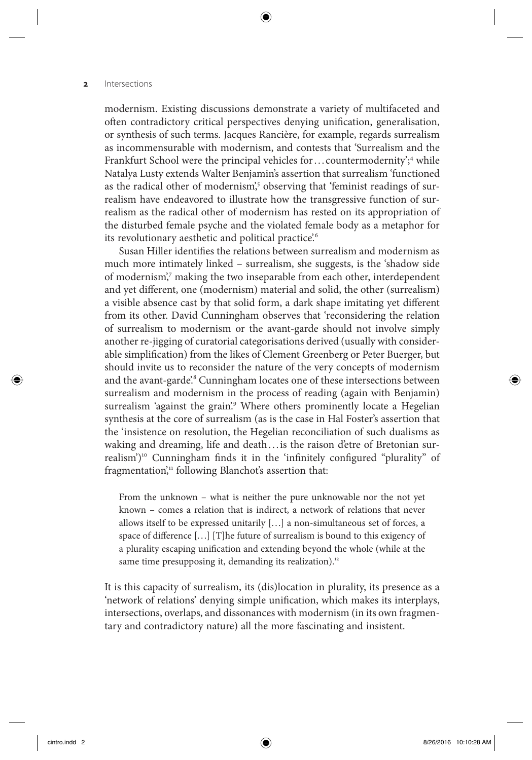modernism. Existing discussions demonstrate a variety of multifaceted and often contradictory critical perspectives denying unification, generalisation, or synthesis of such terms. Jacques Rancière, for example, regards surrealism as incommensurable with modernism, and contests that 'Surrealism and the Frankfurt School were the principal vehicles for ... countermodernity';<sup>4</sup> while Natalya Lusty extends Walter Benjamin's assertion that surrealism 'functioned as the radical other of modernism',<sup>5</sup> observing that 'feminist readings of surrealism have endeavored to illustrate how the transgressive function of surrealism as the radical other of modernism has rested on its appropriation of the disturbed female psyche and the violated female body as a metaphor for its revolutionary aesthetic and political practice.<sup>6</sup>

⊕

Susan Hiller identifies the relations between surrealism and modernism as much more intimately linked – surrealism, she suggests, is the 'shadow side of modernism',7 making the two inseparable from each other, interdependent and yet different, one (modernism) material and solid, the other (surrealism) a visible absence cast by that solid form, a dark shape imitating yet different from its other. David Cunningham observes that 'reconsidering the relation of surrealism to modernism or the avant-garde should not involve simply another re-jigging of curatorial categorisations derived (usually with considerable simplification) from the likes of Clement Greenberg or Peter Buerger, but should invite us to reconsider the nature of the very concepts of modernism and the avant-garde'.<sup>8</sup> Cunningham locates one of these intersections between surrealism and modernism in the process of reading (again with Benjamin) surrealism 'against the grain'.<sup>9</sup> Where others prominently locate a Hegelian synthesis at the core of surrealism (as is the case in Hal Foster's assertion that the 'insistence on resolution, the Hegelian reconciliation of such dualisms as waking and dreaming, life and death ... is the raison d'etre of Bretonian surrealism')<sup>10</sup> Cunningham finds it in the 'infinitely configured "plurality" of fragmentation," following Blanchot's assertion that:

 From the unknown – what is neither the pure unknowable nor the not yet known – comes a relation that is indirect, a network of relations that never allows itself to be expressed unitarily [. . .] a non-simultaneous set of forces, a space of difference [...] [T]he future of surrealism is bound to this exigency of a plurality escaping unification and extending beyond the whole (while at the same time presupposing it, demanding its realization).<sup>12</sup>

 It is this capacity of surrealism, its (dis)location in plurality, its presence as a 'network of relations' denying simple unification, which makes its interplays, intersections, overlaps, and dissonances with modernism (in its own fragmentary and contradictory nature) all the more fascinating and insistent.

 $\langle \spadesuit \rangle$ 

(♦)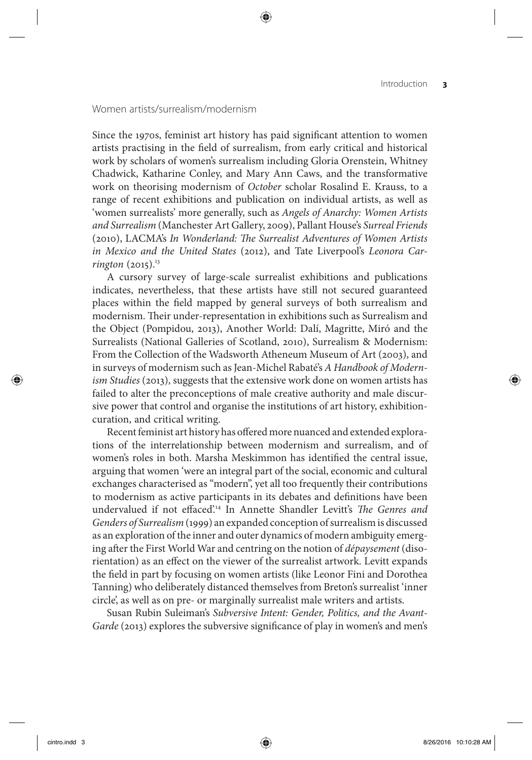# Women artists/surrealism/modernism

Since the 1970s, feminist art history has paid significant attention to women artists practising in the field of surrealism, from early critical and historical work by scholars of women's surrealism including Gloria Orenstein, Whitney Chadwick, Katharine Conley, and Mary Ann Caws, and the transformative work on theorising modernism of *October* scholar Rosalind E. Krauss, to a range of recent exhibitions and publication on individual artists, as well as 'women surrealists' more generally, such as *Angels of Anarchy: Women Artists and Surrealism* (Manchester Art Gallery, 2009), Pallant House ' s *Surreal Friends* (2010), LACMA's *In Wonderland: The Surrealist Adventures of Women Artists* in Mexico and the United States (2012), and Tate Liverpool's Leonora Car*rington* (2015).<sup>13</sup>

⊕

 A cursory survey of large-scale surrealist exhibitions and publications indicates, nevertheless, that these artists have still not secured guaranteed places within the field mapped by general surveys of both surrealism and modernism. Their under-representation in exhibitions such as Surrealism and the Object (Pompidou, 2013), Another World: Dalí, Magritte, Miró and the Surrealists (National Galleries of Scotland, 2010), Surrealism & Modernism: From the Collection of the Wadsworth Atheneum Museum of Art (2003), and in surveys of modernism such as Jean-Michel Rabaté's A Handbook of Modern*ism Studies* (2013), suggests that the extensive work done on women artists has failed to alter the preconceptions of male creative authority and male discursive power that control and organise the institutions of art history, exhibitioncuration, and critical writing.

Recent feminist art history has offered more nuanced and extended explorations of the interrelationship between modernism and surrealism, and of women's roles in both. Marsha Meskimmon has identified the central issue, arguing that women 'were an integral part of the social, economic and cultural exchanges characterised as "modern", yet all too frequently their contributions to modernism as active participants in its debates and definitions have been undervalued if not effaced<sup>'14</sup> In Annette Shandler Levitt's *The Genres and Genders of Surrealism* (1999) an expanded conception of surrealism is discussed as an exploration of the inner and outer dynamics of modern ambiguity emerging after the First World War and centring on the notion of *dépaysement* (disorientation) as an effect on the viewer of the surrealist artwork. Levitt expands the field in part by focusing on women artists (like Leonor Fini and Dorothea Tanning) who deliberately distanced themselves from Breton's surrealist 'inner circle', as well as on pre- or marginally surrealist male writers and artists.

Susan Rubin Suleiman's Subversive Intent: Gender, Politics, and the Avant-*Garde* (2013) explores the subversive significance of play in women's and men's

 $\langle \spadesuit \rangle$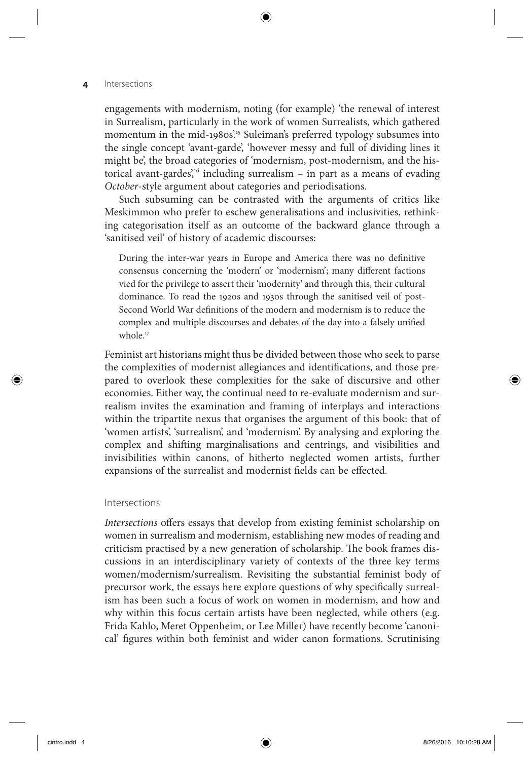engagements with modernism, noting (for example) 'the renewal of interest in Surrealism, particularly in the work of women Surrealists, which gathered momentum in the mid-1980s<sup>215</sup> Suleiman's preferred typology subsumes into the single concept 'avant-garde', 'however messy and full of dividing lines it might be', the broad categories of 'modernism, post-modernism, and the historical avant-gardes',<sup>16</sup> including surrealism - in part as a means of evading *October* -style argument about categories and periodisations.

⊕

 Such subsuming can be contrasted with the arguments of critics like Meskimmon who prefer to eschew generalisations and inclusivities, rethinking categorisation itself as an outcome of the backward glance through a 'sanitised veil' of history of academic discourses:

During the inter-war years in Europe and America there was no definitive consensus concerning the 'modern' or 'modernism'; many different factions vied for the privilege to assert their 'modernity' and through this, their cultural dominance. To read the 1920s and 1930s through the sanitised veil of post-Second World War definitions of the modern and modernism is to reduce the complex and multiple discourses and debates of the day into a falsely unified whole.<sup>17</sup>

 Feminist art historians might thus be divided between those who seek to parse the complexities of modernist allegiances and identifications, and those prepared to overlook these complexities for the sake of discursive and other economies. Either way, the continual need to re-evaluate modernism and surrealism invites the examination and framing of interplays and interactions within the tripartite nexus that organises the argument of this book: that of 'women artists', 'surrealism', and 'modernism'. By analysing and exploring the complex and shifting marginalisations and centrings, and visibilities and invisibilities within canons, of hitherto neglected women artists, further expansions of the surrealist and modernist fields can be effected.

#### Intersections

*Intersections* offers essays that develop from existing feminist scholarship on women in surrealism and modernism, establishing new modes of reading and criticism practised by a new generation of scholarship. The book frames discussions in an interdisciplinary variety of contexts of the three key terms women/modernism/surrealism. Revisiting the substantial feminist body of precursor work, the essays here explore questions of why specifically surrealism has been such a focus of work on women in modernism, and how and why within this focus certain artists have been neglected, while others (e.g. Frida Kahlo, Meret Oppenheim, or Lee Miller) have recently become 'canonical' figures within both feminist and wider canon formations. Scrutinising

 $\langle \spadesuit \rangle$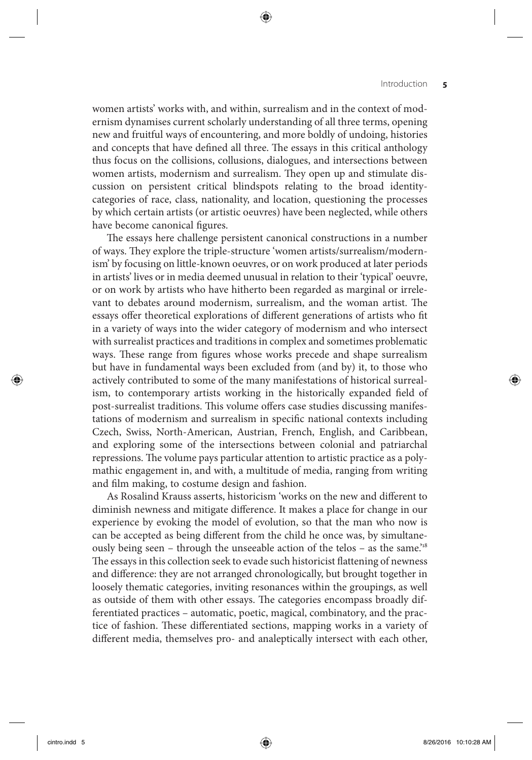### Introduction **5**

women artists' works with, and within, surrealism and in the context of modernism dynamises current scholarly understanding of all three terms, opening new and fruitful ways of encountering, and more boldly of undoing, histories and concepts that have defined all three. The essays in this critical anthology thus focus on the collisions, collusions, dialogues, and intersections between women artists, modernism and surrealism. They open up and stimulate discussion on persistent critical blindspots relating to the broad identitycategories of race, class, nationality, and location, questioning the processes by which certain artists (or artistic oeuvres) have been neglected, while others have become canonical figures.

⊕

The essays here challenge persistent canonical constructions in a number of ways. They explore the triple-structure 'women artists/surrealism/modernism' by focusing on little-known oeuvres, or on work produced at later periods in artists' lives or in media deemed unusual in relation to their 'typical' oeuvre, or on work by artists who have hitherto been regarded as marginal or irrelevant to debates around modernism, surrealism, and the woman artist. The essays offer theoretical explorations of different generations of artists who fit in a variety of ways into the wider category of modernism and who intersect with surrealist practices and traditions in complex and sometimes problematic ways. These range from figures whose works precede and shape surrealism but have in fundamental ways been excluded from (and by) it, to those who actively contributed to some of the many manifestations of historical surrealism, to contemporary artists working in the historically expanded field of post-surrealist traditions. This volume offers case studies discussing manifestations of modernism and surrealism in specific national contexts including Czech, Swiss, North-American, Austrian, French, English, and Caribbean, and exploring some of the intersections between colonial and patriarchal repressions. The volume pays particular attention to artistic practice as a polymathic engagement in, and with, a multitude of media, ranging from writing and film making, to costume design and fashion.

As Rosalind Krauss asserts, historicism 'works on the new and different to diminish newness and mitigate difference. It makes a place for change in our experience by evoking the model of evolution, so that the man who now is can be accepted as being different from the child he once was, by simultaneously being seen – through the unseeable action of the telos – as the same.<sup>18</sup> The essays in this collection seek to evade such historicist flattening of newness and difference: they are not arranged chronologically, but brought together in loosely thematic categories, inviting resonances within the groupings, as well as outside of them with other essays. The categories encompass broadly differentiated practices – automatic, poetic, magical, combinatory, and the practice of fashion. These differentiated sections, mapping works in a variety of different media, themselves pro- and analeptically intersect with each other,

 $\langle \spadesuit \rangle$ 

◈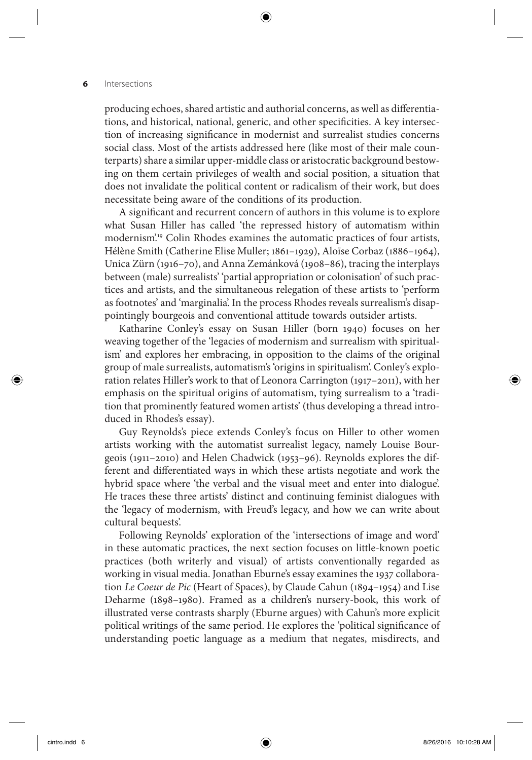producing echoes, shared artistic and authorial concerns, as well as differentiations, and historical, national, generic, and other specificities. A key intersection of increasing significance in modernist and surrealist studies concerns social class. Most of the artists addressed here (like most of their male counterparts) share a similar upper-middle class or aristocratic background bestowing on them certain privileges of wealth and social position, a situation that does not invalidate the political content or radicalism of their work, but does necessitate being aware of the conditions of its production.

⊕

A significant and recurrent concern of authors in this volume is to explore what Susan Hiller has called 'the repressed history of automatism within modernism<sup>'19</sup> Colin Rhodes examines the automatic practices of four artists, Hélène Smith (Catherine Elise Muller; 1861–1929), Aloïse Corbaz (1886–1964), Unica Zürn (1916–70), and Anna Zemánková (1908–86), tracing the interplays between (male) surrealists' 'partial appropriation or colonisation' of such practices and artists, and the simultaneous relegation of these artists to 'perform as footnotes' and 'marginalia'. In the process Rhodes reveals surrealism's disappointingly bourgeois and conventional attitude towards outsider artists.

Katharine Conley's essay on Susan Hiller (born 1940) focuses on her weaving together of the 'legacies of modernism and surrealism with spiritualism' and explores her embracing, in opposition to the claims of the original group of male surrealists, automatism's 'origins in spiritualism'. Conley's exploration relates Hiller's work to that of Leonora Carrington  $(1917-2011)$ , with her emphasis on the spiritual origins of automatism, tying surrealism to a 'tradition that prominently featured women artists' (thus developing a thread introduced in Rhodes's essay).

Guy Reynolds's piece extends Conley's focus on Hiller to other women artists working with the automatist surrealist legacy, namely Louise Bourgeois (1911–2010) and Helen Chadwick (1953–96). Reynolds explores the different and differentiated ways in which these artists negotiate and work the hybrid space where 'the verbal and the visual meet and enter into dialogue'. He traces these three artists' distinct and continuing feminist dialogues with the 'legacy of modernism, with Freud's legacy, and how we can write about cultural bequests'.

 Following Reynolds' exploration of the 'intersections of image and word' in these automatic practices, the next section focuses on little-known poetic practices (both writerly and visual) of artists conventionally regarded as working in visual media. Jonathan Eburne's essay examines the 1937 collaboration *Le Coeur de Pic* (Heart of Spaces), by Claude Cahun (1894–1954) and Lise Deharme (1898–1980). Framed as a children's nursery-book, this work of illustrated verse contrasts sharply (Eburne argues) with Cahun's more explicit political writings of the same period. He explores the 'political significance of understanding poetic language as a medium that negates, misdirects, and

 $\langle \spadesuit \rangle$ 

◈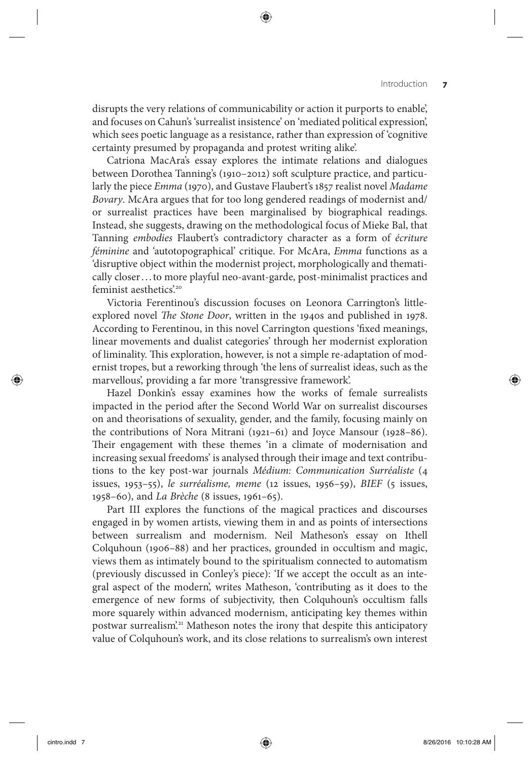disrupts the very relations of communicability or action it purports to enable', and focuses on Cahun's 'surrealist insistence' on 'mediated political expression', which sees poetic language as a resistance, rather than expression of 'cognitive certainty presumed by propaganda and protest writing alike'.

Catriona MacAra's essay explores the intimate relations and dialogues between Dorothea Tanning's (1910–2012) soft sculpture practice, and particularly the piece *Emma* (1970), and Gustave Flaubert's 1857 realist novel *Madame Bovary* . McAra argues that for too long gendered readings of modernist and/ or surrealist practices have been marginalised by biographical readings. Instead, she suggests, drawing on the methodological focus of Mieke Bal, that Tanning *embodies* Flaubert's contradictory character as a form of écriture *féminine* and 'autotopographical' critique. For McAra, *Emma* functions as a 'disruptive object within the modernist project, morphologically and thematically closer . . . to more playful neo-avant-garde, post-minimalist practices and feminist aesthetics.<sup>20</sup>

Victoria Ferentinou's discussion focuses on Leonora Carrington's littleexplored novel *The Stone Door*, written in the 1940s and published in 1978. According to Ferentinou, in this novel Carrington questions 'fixed meanings, linear movements and dualist categories' through her modernist exploration of liminality. This exploration, however, is not a simple re-adaptation of modernist tropes, but a reworking through 'the lens of surrealist ideas, such as the marvellous', providing a far more 'transgressive framework'.

Hazel Donkin's essay examines how the works of female surrealists impacted in the period after the Second World War on surrealist discourses on and theorisations of sexuality, gender, and the family, focusing mainly on the contributions of Nora Mitrani (1921–61) and Joyce Mansour (1928–86). Their engagement with these themes 'in a climate of modernisation and increasing sexual freedoms' is analysed through their image and text contributions to the key post-war journals *Médium: Communication Surréaliste* (4 issues, 1953–55), *le surréalisme, meme* (12 issues, 1956–59), *BIEF* (5 issues, 1958–60), and *La Brèche* (8 issues, 1961–65).

 Part III explores the functions of the magical practices and discourses engaged in by women artists, viewing them in and as points of intersections between surrealism and modernism. Neil Matheson's essay on Ithell Colquhoun (1906–88) and her practices, grounded in occultism and magic, views them as intimately bound to the spiritualism connected to automatism (previously discussed in Conley's piece): 'If we accept the occult as an integral aspect of the modern', writes Matheson, 'contributing as it does to the emergence of new forms of subjectivity, then Colquhoun's occultism falls more squarely within advanced modernism, anticipating key themes within postwar surrealism'.<sup>21</sup> Matheson notes the irony that despite this anticipatory value of Colquhoun's work, and its close relations to surrealism's own interest

 $\langle \spadesuit \rangle$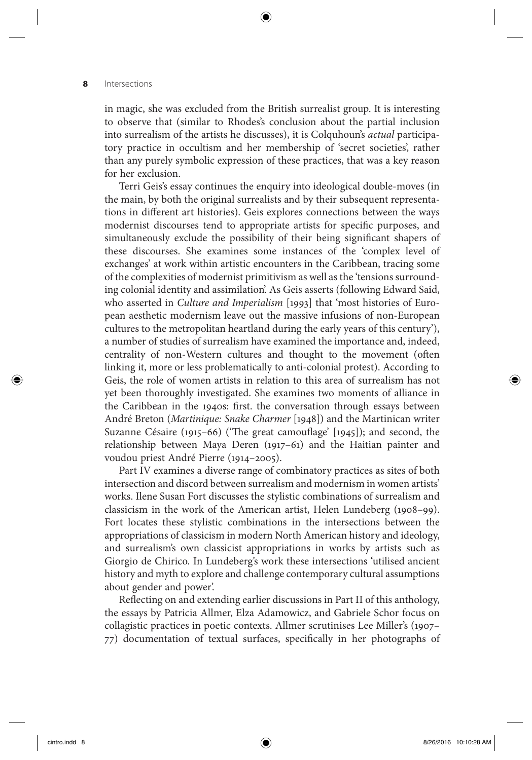in magic, she was excluded from the British surrealist group. It is interesting to observe that (similar to Rhodes's conclusion about the partial inclusion into surrealism of the artists he discusses), it is Colquhoun's *actual* participatory practice in occultism and her membership of 'secret societies', rather than any purely symbolic expression of these practices, that was a key reason for her exclusion.

⊕

Terri Geis's essay continues the enquiry into ideological double-moves (in the main, by both the original surrealists and by their subsequent representations in different art histories). Geis explores connections between the ways modernist discourses tend to appropriate artists for specific purposes, and simultaneously exclude the possibility of their being significant shapers of these discourses. She examines some instances of the 'complex level of exchanges' at work within artistic encounters in the Caribbean, tracing some of the complexities of modernist primitivism as well as the 'tensions surrounding colonial identity and assimilation'. As Geis asserts (following Edward Said, who asserted in *Culture and Imperialism* [1993] that 'most histories of European aesthetic modernism leave out the massive infusions of non-European cultures to the metropolitan heartland during the early years of this century'), a number of studies of surrealism have examined the importance and, indeed, centrality of non-Western cultures and thought to the movement (often linking it, more or less problematically to anti-colonial protest). According to Geis, the role of women artists in relation to this area of surrealism has not yet been thoroughly investigated. She examines two moments of alliance in the Caribbean in the 1940s: first. the conversation through essays between André Breton ( *Martinique: Snake Charmer* [1948]) and the Martinican writer Suzanne Césaire (1915–66) ('The great camouflage'  $[1945]$ ); and second, the relationship between Maya Deren (1917–61) and the Haitian painter and voudou priest André Pierre (1914–2005).

 Part IV examines a diverse range of combinatory practices as sites of both intersection and discord between surrealism and modernism in women artists' works. Ilene Susan Fort discusses the stylistic combinations of surrealism and classicism in the work of the American artist, Helen Lundeberg (1908–99). Fort locates these stylistic combinations in the intersections between the appropriations of classicism in modern North American history and ideology, and surrealism's own classicist appropriations in works by artists such as Giorgio de Chirico. In Lundeberg's work these intersections 'utilised ancient history and myth to explore and challenge contemporary cultural assumptions about gender and power'.

Reflecting on and extending earlier discussions in Part II of this anthology, the essays by Patricia Allmer, Elza Adamowicz, and Gabriele Schor focus on collagistic practices in poetic contexts. Allmer scrutinises Lee Miller's (1907– 77) documentation of textual surfaces, specifically in her photographs of

 $\langle \spadesuit \rangle$ 

(♦)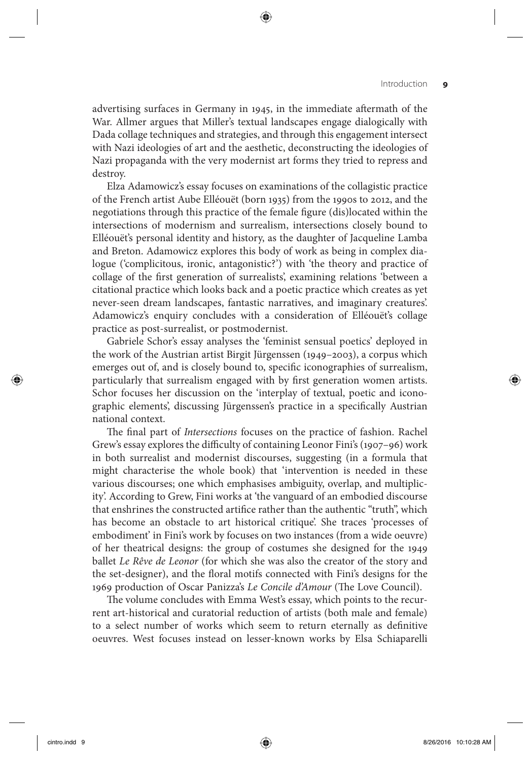### Introduction **9**

advertising surfaces in Germany in 1945, in the immediate aftermath of the War. Allmer argues that Miller's textual landscapes engage dialogically with Dada collage techniques and strategies, and through this engagement intersect with Nazi ideologies of art and the aesthetic, deconstructing the ideologies of Nazi propaganda with the very modernist art forms they tried to repress and destroy.

⊕

Elza Adamowicz's essay focuses on examinations of the collagistic practice of the French artist Aube Elléouët (born 1935) from the 1990s to 2012, and the negotiations through this practice of the female figure (dis)located within the intersections of modernism and surrealism, intersections closely bound to Elléouët's personal identity and history, as the daughter of Jacqueline Lamba and Breton. Adamowicz explores this body of work as being in complex dialogue ('complicitous, ironic, antagonistic?') with 'the theory and practice of collage of the first generation of surrealists', examining relations 'between a citational practice which looks back and a poetic practice which creates as yet never-seen dream landscapes, fantastic narratives, and imaginary creatures'. Adamowicz's enquiry concludes with a consideration of Elléouët's collage practice as post-surrealist, or postmodernist.

Gabriele Schor's essay analyses the 'feminist sensual poetics' deployed in the work of the Austrian artist Birgit Jürgenssen (1949–2003), a corpus which emerges out of, and is closely bound to, specific iconographies of surrealism, particularly that surrealism engaged with by first generation women artists. Schor focuses her discussion on the 'interplay of textual, poetic and iconographic elements', discussing Jürgenssen's practice in a specifically Austrian national context.

The final part of *Intersections* focuses on the practice of fashion. Rachel Grew's essay explores the difficulty of containing Leonor Fini's (1907-96) work in both surrealist and modernist discourses, suggesting (in a formula that might characterise the whole book) that 'intervention is needed in these various discourses; one which emphasises ambiguity, overlap, and multiplicity'. According to Grew, Fini works at 'the vanguard of an embodied discourse that enshrines the constructed artifice rather than the authentic "truth", which has become an obstacle to art historical critique'. She traces 'processes of embodiment' in Fini's work by focuses on two instances (from a wide oeuvre) of her theatrical designs: the group of costumes she designed for the 1949 ballet *Le Rêve de Leonor* (for which she was also the creator of the story and the set-designer), and the floral motifs connected with Fini's designs for the 1969 production of Oscar Panizza's Le Concile d'Amour (The Love Council).

The volume concludes with Emma West's essay, which points to the recurrent art-historical and curatorial reduction of artists (both male and female) to a select number of works which seem to return eternally as definitive oeuvres. West focuses instead on lesser-known works by Elsa Schiaparelli

 $\langle \spadesuit \rangle$ 

◈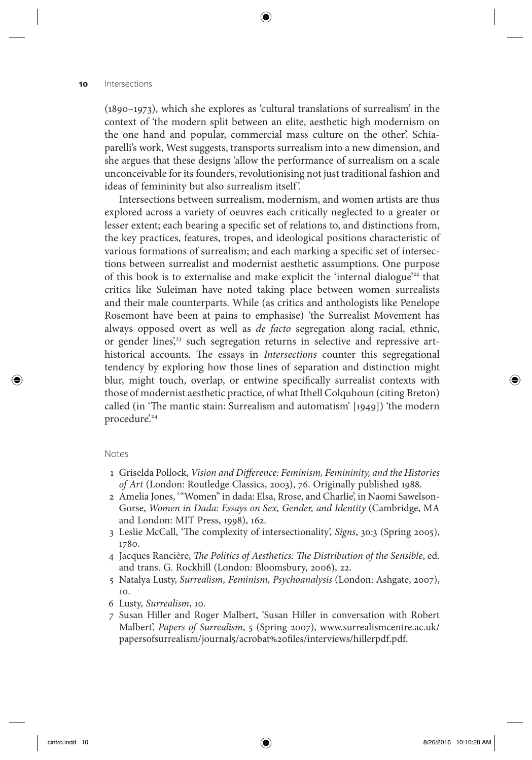(1890–1973), which she explores as 'cultural translations of surrealism' in the context of 'the modern split between an elite, aesthetic high modernism on the one hand and popular, commercial mass culture on the other'. Schiaparelli's work, West suggests, transports surrealism into a new dimension, and she argues that these designs 'allow the performance of surrealism on a scale unconceivable for its founders, revolutionising not just traditional fashion and ideas of femininity but also surrealism itself '.

⊕

 Intersections between surrealism, modernism, and women artists are thus explored across a variety of oeuvres each critically neglected to a greater or lesser extent; each bearing a specific set of relations to, and distinctions from, the key practices, features, tropes, and ideological positions characteristic of various formations of surrealism; and each marking a specific set of intersections between surrealist and modernist aesthetic assumptions. One purpose of this book is to externalise and make explicit the 'internal dialogue'<sup>22</sup> that critics like Suleiman have noted taking place between women surrealists and their male counterparts. While (as critics and anthologists like Penelope Rosemont have been at pains to emphasise) 'the Surrealist Movement has always opposed overt as well as *de facto* segregation along racial, ethnic, or gender lines,<sup>23</sup> such segregation returns in selective and repressive arthistorical accounts. The essays in *Intersections* counter this segregational tendency by exploring how those lines of separation and distinction might blur, might touch, overlap, or entwine specifically surrealist contexts with those of modernist aesthetic practice, of what Ithell Colquhoun (citing Breton) called (in 'The mantic stain: Surrealism and automatism' [1949]) 'the modern procedure.<sup>24</sup>

#### Notes

 $\langle \spadesuit \rangle$ 

- 1 Griselda Pollock, *Vision and Difference: Feminism, Femininity, and the Histories of Art* (London: Routledge Classics, 2003), 76. Originally published 1988.
- 2 Amelia Jones, '"Women" in dada: Elsa, Rrose, and Charlie', in Naomi Sawelson-Gorse, *Women in Dada: Essays on Sex, Gender, and Identity* (Cambridge, MA and London: MIT Press, 1998), 162.
- 3 Leslie McCall, 'The complexity of intersectionality', *Signs*, 30:3 (Spring 2005), 1780.
- 4 Jacques Rancière, *The Politics of Aesthetics: The Distribution of the Sensible*, ed. and trans. G. Rockhill (London: Bloomsbury, 2006), 22.
- 5 Natalya Lusty, *Surrealism, Feminism, Psychoanalysis* (London: Ashgate, 2007), 10.
- 6 Lusty, *Surrealism*, 10.
- 7 Susan Hiller and Roger Malbert, 'Susan Hiller in conversation with Robert Malbert', *Papers of Surrealism* , 5 (Spring 2007), www.surrealismcentre.ac.uk/ papersofsurrealism/journal5/acrobat%20files/interviews/hillerpdf.pdf.

(♦)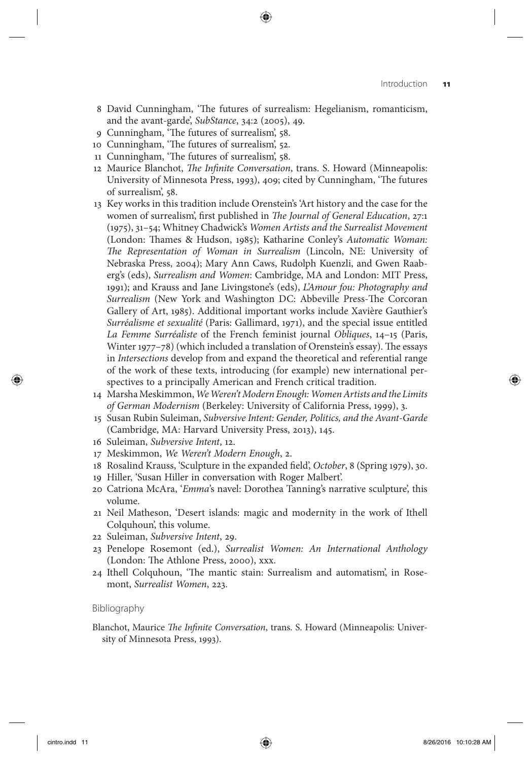8 David Cunningham, 'The futures of surrealism: Hegelianism, romanticism, and the avant-garde', *SubStance* , 34:2 (2005), 49.

⊕

- 9 Cunningham, 'The futures of surrealism', 58.
- 10 Cunningham, 'The futures of surrealism', 52.
- 11 Cunningham, 'The futures of surrealism', 58.
- 12 Maurice Blanchot, *The Infinite Conversation*, trans. S. Howard (Minneapolis: University of Minnesota Press, 1993), 409; cited by Cunningham, 'The futures of surrealism', 58.
- 13 Key works in this tradition include Orenstein ' s 'Art history and the case for the women of surrealism', first published in *The Journal of General Education*, 27:1 (1975), 31–54; Whitney Chadwick's *Women Artists and the Surrealist Movement* (London: Thames & Hudson, 1985); Katharine Conley's Automatic Woman: The Representation of Woman in Surrealism (Lincoln, NE: University of Nebraska Press, 2004); Mary Ann Caws, Rudolph Kuenzli, and Gwen Raaberg's (eds), *Surrealism and Women*: Cambridge, MA and London: MIT Press, 1991); and Krauss and Jane Livingstone's (eds), *L'Amour fou: Photography and Surrealism* (New York and Washington DC: Abbeville Press-The Corcoran Gallery of Art, 1985). Additional important works include Xavière Gauthier's *Surréalisme et sexualité* (Paris: Gallimard, 1971), and the special issue entitled *La Femme Surréaliste* of the French feminist journal *Obliques* , 14–15 (Paris, Winter 1977–78) (which included a translation of Orenstein's essay). The essays in *Intersections* develop from and expand the theoretical and referential range of the work of these texts, introducing (for example) new international perspectives to a principally American and French critical tradition.
- 14 Marsha Meskimmon, *We Weren't Modern Enough: Women Artists and the Limits of German Modernism* (Berkeley: University of California Press, 1999), 3.
- 15 Susan Rubin Suleiman, *Subversive Intent: Gender, Politics, and the Avant-Garde*  (Cambridge, MA: Harvard University Press, 2013), 145.
- 16 Suleiman, *Subversive Intent*, 12.
- 17 Meskimmon, We Weren't Modern Enough, 2.
- 18 Rosalind Krauss, 'Sculpture in the expanded field', *October*, 8 (Spring 1979), 30.
- 19 Hiller, 'Susan Hiller in conversation with Roger Malbert'.
- 20 Catriona McAra, '*Emma*'s navel: Dorothea Tanning's narrative sculpture', this volume.
- 21 Neil Matheson, 'Desert islands: magic and modernity in the work of Ithell Colquhoun', this volume.
- 22 Suleiman, *Subversive Intent*, 29.
- 23 Penelope Rosemont (ed.), *Surrealist Women: An International Anthology*  (London: The Athlone Press, 2000), xxx.
- 24 Ithell Colquhoun, 'The mantic stain: Surrealism and automatism', in Rosemont, *Surrealist Women*, 223.

#### Bibliography

Blanchot, Maurice *The Infinite Conversation*, trans. S. Howard (Minneapolis: University of Minnesota Press, 1993).

 $\langle \spadesuit \rangle$